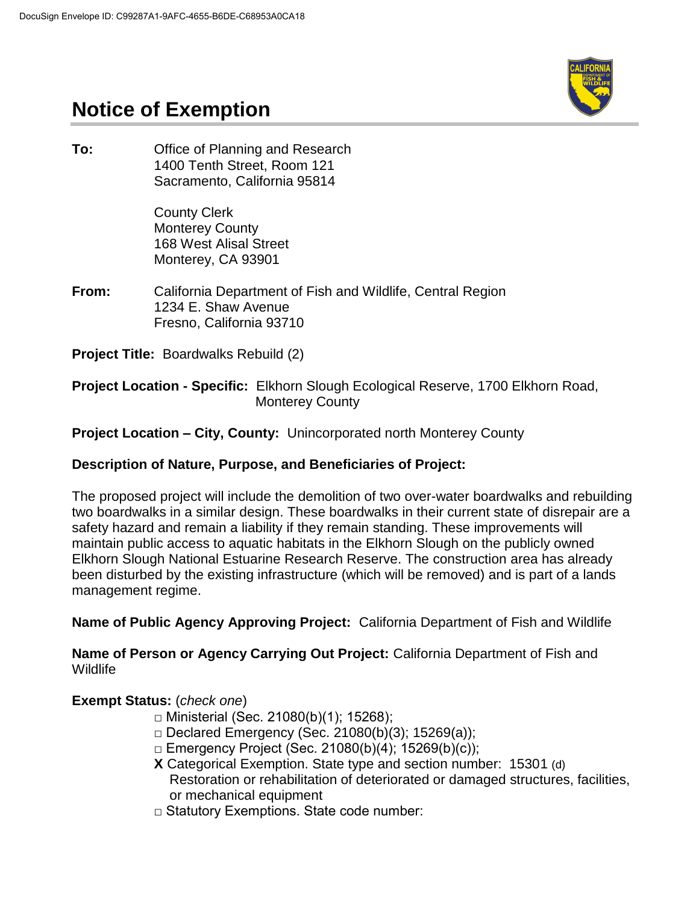

# **Notice of Exemption**

**To:** Office of Planning and Research 1400 Tenth Street, Room 121 Sacramento, California 95814

> County Clerk Monterey County 168 West Alisal Street Monterey, CA 93901

**From:** California Department of Fish and Wildlife, Central Region 1234 E. Shaw Avenue Fresno, California 93710

**Project Title:** Boardwalks Rebuild (2)

#### **Project Location - Specific:** Elkhorn Slough Ecological Reserve, 1700 Elkhorn Road, Monterey County

### **Project Location – City, County:** Unincorporated north Monterey County

### **Description of Nature, Purpose, and Beneficiaries of Project:**

The proposed project will include the demolition of two over-water boardwalks and rebuilding two boardwalks in a similar design. These boardwalks in their current state of disrepair are a safety hazard and remain a liability if they remain standing. These improvements will maintain public access to aquatic habitats in the Elkhorn Slough on the publicly owned Elkhorn Slough National Estuarine Research Reserve. The construction area has already been disturbed by the existing infrastructure (which will be removed) and is part of a lands management regime.

**Name of Public Agency Approving Project:** California Department of Fish and Wildlife

**Name of Person or Agency Carrying Out Project:** California Department of Fish and Wildlife

### **Exempt Status:** (*check one*)

- $\Box$  Ministerial (Sec. 21080(b)(1); 15268);
- $\Box$  Declared Emergency (Sec. 21080(b)(3); 15269(a));
- □ Emergency Project (Sec. 21080(b)(4); 15269(b)(c));
- **X** Categorical Exemption. State type and section number: 15301 (d) Restoration or rehabilitation of deteriorated or damaged structures, facilities, or mechanical equipment
- □ Statutory Exemptions. State code number: